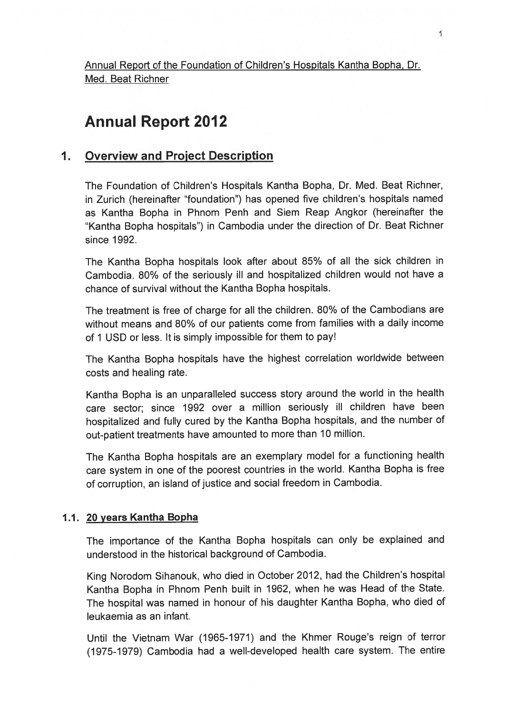Annual Report of the Foundation of Children's Hospitals Kantha Bopha, Dr. Med. Beat Richner

# Annual Report 2012

## 1. Overview and Project Description

The Foundation of Children's Hospitals Kantha Bopha, Dr. Med. Beat Richner, in Zurich (hereinafter "foundation") has opened five children's hospitals named as Kantha Bopha in Phnom Penh and Siem Reap Angkor (hereinafter the "Kantha Bopha hospitals") in Cambodia under the direction of Dr. Beat Richner since 1992.

The Kantha Bopha hospitals look after about 85% of all the sick children in Cambodia. 80% of the seriously ill and hospitalized children would not have <sup>a</sup> chance of survival without the Kantha Bopha hospitals.

The treatment is free of charge for all the children. 80% of the Cambodians are without means and 80% of our patients come from families with <sup>a</sup> daily income of <sup>I</sup> USD or less. It is simply impossible for them to pay!

The Kantha Bopha hospitals have the highest correlation worldwide between costs and healing rate.

Kantha Bopha is an unparalleled success story around the world in the health care sector; since <sup>1992</sup> over <sup>a</sup> million seriously ill children have been hospitalized and fully cured by the Kantha Bopha hospitals, and the number of out-patient treatments have amounted to more than <sup>10</sup> million.

The Kantha Bopha hospitals are an exemplary model for <sup>a</sup> functioning health care system in one of the poores<sup>t</sup> countries in the world. Kantha Bopha is free of corruption, an island of justice and social freedom in Cambodia.

#### 1.1. 20 years Kantha Bopha

The importance of the Kantha Bopha hospitals can only be explained and understood in the historical background of Cambodia.

King Norodom Sihanouk, who died in October 2012, had the Children's hospital Kantha Bopha in Phnom Penh built in 1962, when he was Head of the State. The hospital was named in honour of his daughter Kantha Bopha, who died of leukaemia as an infant.

Until the Vietnam War (1965-1971) and the Khmer Rouge's reign of terror (1975-1979) Cambodia had <sup>a</sup> well-developed health care system. The entire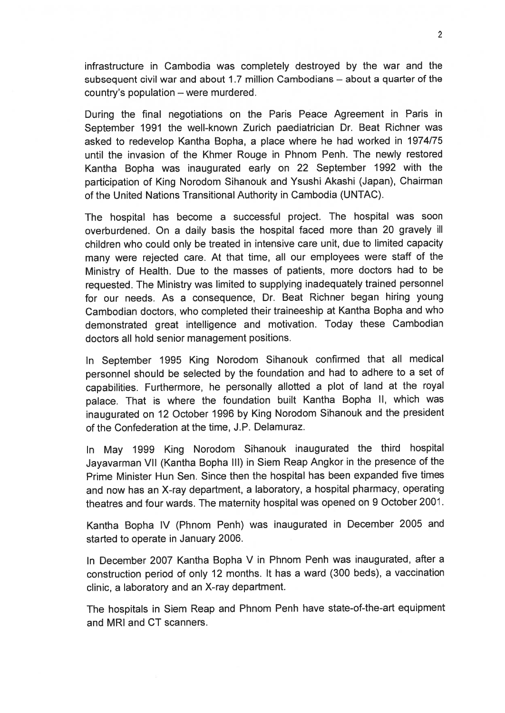infrastructure in Cambodia was completely destroyed by the war and the subsequent civil war and about 1 .7 million Cambodians — about <sup>a</sup> quarter of the country's population — were murdered.

During the final negotiations on the Paris Peace Agreement in Paris in September 1991 the well-known Zurich paediatrician Dr. Beat Richner was asked to redevelop Kantha Bopha, <sup>a</sup> <sup>p</sup>lace where he had worked in 1974/75 until the invasion of the Khmer Rouge in Phnom Penh. The newly restored Kantha Bopha was inaugurated early on <sup>22</sup> September <sup>1992</sup> with the participation of King Norodom Sihanouk and Ysushi Akashi (Japan), Chairman of the United Nations Transitional Authority in Cambodia (UNTAC).

The hospital has become <sup>a</sup> successful project. The hospital was soon overburdened. On <sup>a</sup> daily basis the hospital faced more than <sup>20</sup> gravely ill children who could only be treated in intensive care unit, due to limited capacity many were rejected care. At that time, all our employees were staff of the Ministry of Health. Due to the masses of patients, more doctors had to be requested. The Ministry was limited to supplying inadequately trained personne<sup>l</sup> for our needs. As <sup>a</sup> consequence, Dr. Beat Richner began hiring young Cambodian doctors, who completed their traineeship at Kantha Bopha and who demonstrated grea<sup>t</sup> intelligence and motivation. Today these Cambodian doctors all hold senior managemen<sup>t</sup> positions.

In September <sup>1995</sup> King Norodom Sihanouk confirmed that all medical personne<sup>l</sup> should be selected by the foundation and had to adhere to <sup>a</sup> set of capabilities. Furthermore, he personally allotted <sup>a</sup> <sup>p</sup>lot of land at the roya<sup>l</sup> palace. That is where the foundation built Kantha Bopha II, which was inaugurated on <sup>12</sup> October <sup>1996</sup> by King Norodom Sihanouk and the president of the Confederation at the time, J.P. Delamuraz.

In May <sup>1999</sup> King Norodom Sihanouk inaugurated the third hospital Jayavarman VII (Kantha Bopha III) in Siem Reap Angkor in the presence of the Prime Minister Hun Sen. Since then the hospital has been expanded five times and now has an X-ray department, <sup>a</sup> laboratory, <sup>a</sup> hospital <sup>p</sup>harmacy, operating theatres and four wards. The maternity hospital was opene<sup>d</sup> on <sup>9</sup> October 2001.

Kantha Bopha IV (Phnom Penh) was inaugurated in December <sup>2005</sup> and started to operate in January 2006.

In December <sup>2007</sup> Kantha Bopha <sup>V</sup> in Phnom Penh was inaugurated, after <sup>a</sup> construction period of only <sup>12</sup> months. It has <sup>a</sup> ward (300 beds), <sup>a</sup> vaccination clinic, <sup>a</sup> laboratory and an X-ray department.

The hospitals in Siem Reap and Phnom Penh have state-of-the-art equipment and MRI and CT scanners.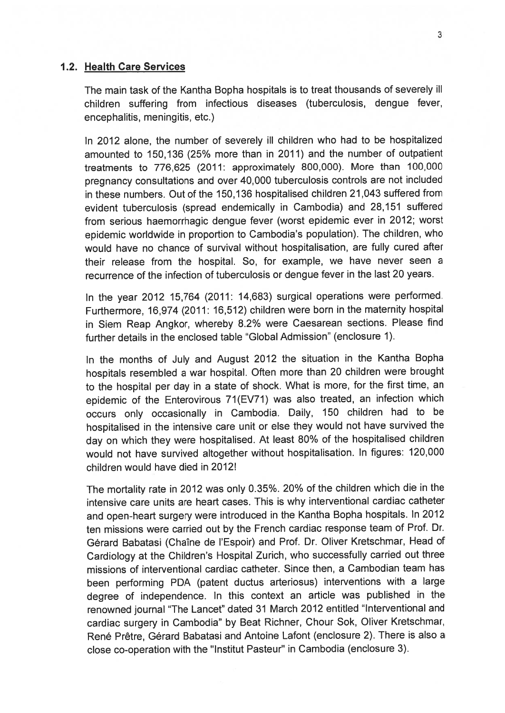#### 1.2. Health Care Services

The main task of the Kantha Bopha hospitals is to treat thousands of severely ill children suffering from infectious diseases (tuberculosis, dengue fever, encephalitis, meningitis, etc.)

In 2012 alone, the number of severely ill children who had to be hospitalized amounted to 150,136 (25% more than in 2011) and the number of outpatient treatments to 776,625 (2011: approximately 800,000). More than 100,000 pregnancy consultations and over 40,000 tuberculosis controls are not included in these numbers. Out of the 150,136 hospitalised children 21,043 suffered from evident tuberculosis (spread endemically in Cambodia) and 28,151 suffered from serious haemorrhagic dengue fever (worst epidemic ever in 2012; worst epidemic worldwide in proportion to Cambodia's population). The children, who would have no chance of survival without hospitalisation, are fully cured after their release from the hospital. So, for example, we have never seen <sup>a</sup> recurrence of the infection of tuberculosis or dengue fever in the last 20 years.

In the year <sup>2012</sup> 15,764 (2011: 14,683) surgical operations were performed. Furthermore, 16,974 (2011: 16,512) children were born in the maternity hospital in Siem Reap Angkor, whereby 8.2% were Caesarean sections. Please find further details in the enclosed table "Global Admission" (enclosure 1).

In the months of July and August <sup>2012</sup> the situation in the Kantha Bopha hospitals resembled <sup>a</sup> war hospital. Often more than <sup>20</sup> children were brought to the hospital per day in <sup>a</sup> state of shock. What is more, for the first time, an epidemic of the Enterovirous 71(EV7I) was also treated, an infection which occurs only occasionally in Cambodia. Daily, <sup>150</sup> children had to be hospitalised in the intensive care unit or else they would not have survived the day on which they were hospitalised. At least 80% of the hospitalised children would not have survived altogether without hospitalisation. In figures: 120,000 children would have died in 2012!

The mortality rate in <sup>2012</sup> was only 0.35%. 20% of the children which die in the intensive care units are heart cases. This is why interventional cardiac catheter and open-heart surgery were introduced in the Kantha Bopha hospitals. In <sup>2012</sup> ten missions were carried out by the French cardiac response team of Prof. Dr. Gérard Babatasi (Chaîne de l'Espoir) and Prof. Dr. Oliver Kretschmar, Head of Cardiology at the Children's Hospital Zurich, who successfully carried out three missions of interventional cardiac catheter. Since then, <sup>a</sup> Cambodian team has been performing PDA (patent ductus arteriosus) interventions with <sup>a</sup> large degree of independence. In this context an article was published in the renowned journal "The Lancet" dated <sup>31</sup> March <sup>2012</sup> entitled "Interventional and cardiac surgery in Cambodia" by Beat Richner, Chour Sok, Oliver Kretschmar, René Prêtre, Gérard Babatasi and Antoine Lafont (enclosure 2). There is also a close co-operation with the "Institut Pasteur" in Cambodia (enclosure 3).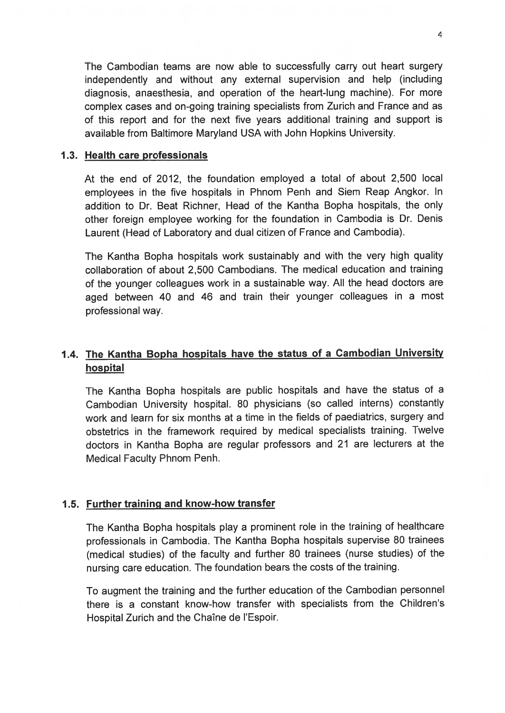The Cambodian teams are now able to successfully carry out heart surgery independently and without any external supervision and help (including diagnosis, anaesthesia, and operation of the heart-lung machine). For more complex cases and on-going training specialists from Zurich and France and as of this repor<sup>t</sup> and for the next five years additional training and suppor<sup>t</sup> is available from Baltimore Maryland USA with John Hopkins University.

#### 1.3. Health care professionals

At the end of 2012, the foundation employed <sup>a</sup> total of about 2,500 local employees in the five hospitals in Phnom Penh and Siem Reap Angkor. In addition to Dr. Beat Richner, Head of the Kantha Bopha hospitals, the only other foreign employee working for the foundation in Cambodia is Dr. Denis Laurent (Head of Laboratory and dual citizen of France and Cambodia).

The Kantha Bopha hospitals work sustainably and with the very high quality collaboration of about 2,500 Cambodians. The medical education and training of the younger colleagues work in <sup>a</sup> sustainable way. All the head doctors are age<sup>d</sup> between <sup>40</sup> and <sup>46</sup> and train their younger colleagues in <sup>a</sup> most professional way.

## 1.4. The Kantha Bopha hospitals have the status of <sup>a</sup> Cambodian University hospital

The Kantha Bopha hospitals are public hospitals and have the status of <sup>a</sup> Cambodian University hospital. <sup>80</sup> <sup>p</sup>hysicians (so called interns) constantly work and learn for six months at <sup>a</sup> time in the fields of paediatrics, surgery and obstetrics in the framework required by medical specialists training. Twelve doctors in Kantha Bopha are regular professors and <sup>21</sup> are lecturers at the Medical Faculty Phnom Penh.

#### 1.5. Further training and know-how transfer

The Kantha Bopha hospitals <sup>p</sup>lay <sup>a</sup> prominent role in the training of healthcare professionals in Cambodia. The Kantha Bopha hospitals supervise <sup>80</sup> trainees (medical studies) of the faculty and further <sup>80</sup> trainees (nurse studies) of the nursing care education. The foundation bears the costs of the training.

To augmen<sup>t</sup> the training and the further education of the Cambodian personne<sup>l</sup> there is <sup>a</sup> constant know-how transfer with specialists from the Children's Hospital Zurich and the Chaîne de l'Espoir.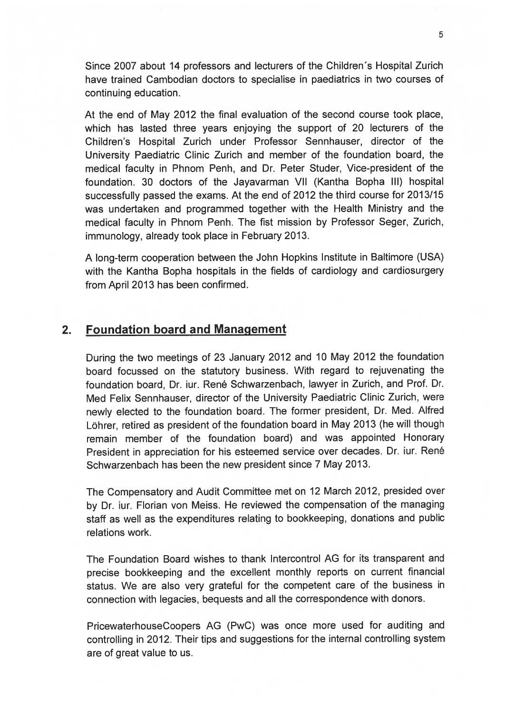Since 2007 about 14 professors and lecturers of the Children's Hospital Zurich have trained Cambodian doctors to specialise in paediatrics in two courses of continuing education.

At the end of May 2012 the final evaluation of the second course took place, which has lasted three years enjoying the suppor<sup>t</sup> of 20 lecturers of the Children's Hospital Zurich under Professor Sennhauser, director of the University Paediatric Clinic Zurich and member of the foundation board, the medical faculty in Phnom Penh, and Dr. Peter Studer, Vice-president of the foundation. 30 doctors of the Jayavarman VII (Kantha Bopha Ill) hospital successfully passed the exams. At the end of 2012 the third course for 2013/15 was undertaken and programmed together with the Health Ministry and the medical faculty in Phnom Penh. The fist mission by Professor Seger, Zurich, immunology, already took place in February 2013.

<sup>A</sup> long-term cooperation between the John Hopkins Institute in Baltimore (USA) with the Kantha Bopha hospitals in the fields of cardiology and cardiosurgery from April 2013 has been confirmed.

### 2. Foundation board and Management

During the two meetings of <sup>23</sup> January <sup>2012</sup> and <sup>10</sup> May <sup>2012</sup> the foundation board focussed on the statutory business. With regar<sup>d</sup> to rejuvenating the foundation board, Dr. iur. René Schwarzenbach, lawyer in Zurich, and Prof. Dr. Med Felix Sennhauser, director of the University Paediatric Clinic Zurich, were newly elected to the foundation board. The former president, Dr. Med. Alfred Löhrer, retired as president of the foundation board in May 2013 (he will though remain member of the foundation board) and was appointed Honorary President in appreciation for his esteemed service over decades. Dr. iur. René Schwarzenbach has been the new president since 7 May 2013.

The Compensatory and Audit Committee met on <sup>12</sup> March 2012, presided over by Dr. iur. Florian von Meiss. He reviewed the compensation of the managing staff as well as the expenditures relating to bookkeeping, donations and public relations work.

The Foundation Board wishes to thank Intercontrol AG for its transparent and precise bookkeeping and the excellent monthly reports on current financial status. We are also very grateful for the competent care of the business in connection with legacies, bequests and all the correspondence with donors.

PricewaterhouseCoopers AG (PwC) was once more used for auditing and controlling in 2012. Their tips and suggestions for the internal controlling system are of grea<sup>t</sup> value to us.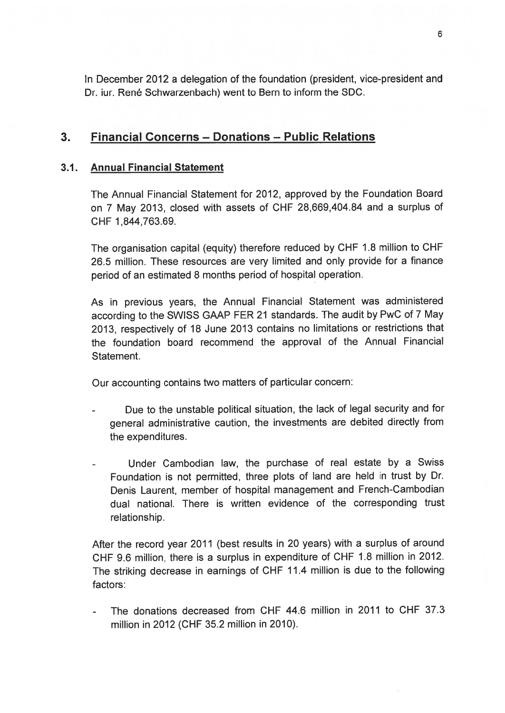In December 2012 <sup>a</sup> delegation of the foundation (president, vice-president and Dr. iur. René Schwarzenbach) went to Bern to inform the SDC.

## 3. Financial Concerns — Donations — Public Relations

### 3.1. Annual Financial Statement

The Annual Financial Statement for 2012, approved by the Foundation Board on <sup>7</sup> May 2013, closed with assets of CHF 28,669,404.84 and <sup>a</sup> surplus of CHF 1,844,763.69.

The organisation capital (equity) therefore reduced by CHF 1.8 million to CHF 26.5 million. These resources are very limited and only provide for <sup>a</sup> finance period of an estimated 8 months period of hospital operation.

As in previous years, the Annual Financial Statement was administered according to the SWISS GAAP FER <sup>21</sup> standards. The audit by PwC of <sup>7</sup> May 2013, respectively of <sup>18</sup> June <sup>2013</sup> contains no limitations or restrictions that the foundation board recommend the approval of the Annual Financial Statement.

Our accounting contains two matters of particular concern:

- Due to the unstable political situation, the lack of legal security and for genera<sup>l</sup> administrative caution, the investments are debited directly from the expenditures.
- Under Cambodian law, the purchase of real estate by <sup>a</sup> Swiss Foundation is not permitted, three <sup>p</sup>lots of land are held in trust by Dr. Denis Laurent, member of hospital managemen<sup>t</sup> and French-Cambodian dual national. There is written evidence of the corresponding trust relationship.

After the record year <sup>2011</sup> (best results in <sup>20</sup> years) with <sup>a</sup> surplus of around CHF 9.6 million, there is <sup>a</sup> surplus in expenditure of CHF 1.8 million in 2012. The striking decrease in earnings of CHF 11.4 million is due to the following factors:

 The donations decreased from CHF 44.6 million in 2011 to CHF 37.3 million in 2012 (CHF 35.2 million in 2010).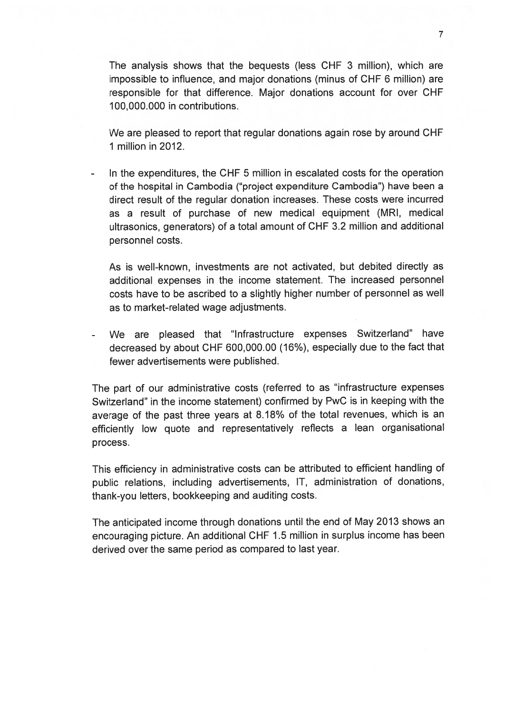The analysis shows that the bequests (less CHF 3 million), which are impossible to influence, and major donations (minus of CHF 6 million) are responsible for that difference. Major donations account for over CHF 100,000.000 in contributions.

We are pleased to repor<sup>t</sup> that regular donations again rose by around CHF 1 million in 2012.

 In the expenditures, the CHF 5 million in escalated costs for the operation of the hospital in Cambodia ("project expenditure Cambodia") have been <sup>a</sup> direct result of the regular donation increases. These costs were incurred as <sup>a</sup> result of purchase of new medical equipment (MRI, medical ultrasonics, generators) of <sup>a</sup> total amount of CHF 3.2 million and additional personnel costs.

As is well-known, investments are not activated, but debited directly as additional expenses in the income statement. The increased personnel costs have to be ascribed to <sup>a</sup> slightly higher number of personne<sup>l</sup> as well as to market-related wage adjustments.

 We are <sup>p</sup>leased that "Infrastructure expenses Switzerland" have decreased by about CHF 600,000.00 (16%), especially due to the fact that fewer advertisements were published.

The par<sup>t</sup> of our administrative costs (referred to as "infrastructure expenses Switzerland" in the income statement) confirmed by PwC is in keeping with the average of the pas<sup>t</sup> three years at 8.18% of the total revenues, which is an efficiently low quote and representatively reflects <sup>a</sup> lean organisational process.

This efficiency in administrative costs can be attributed to efficient handling of public relations, including advertisements, IT, administration of donations, thank-you letters, bookkeeping and auditing costs.

The anticipated income through donations until the end of May <sup>2013</sup> shows an encouraging <sup>p</sup>icture. An additional CHF <sup>1</sup> .5 million in surplus income has been derived over the same period as compared to last year.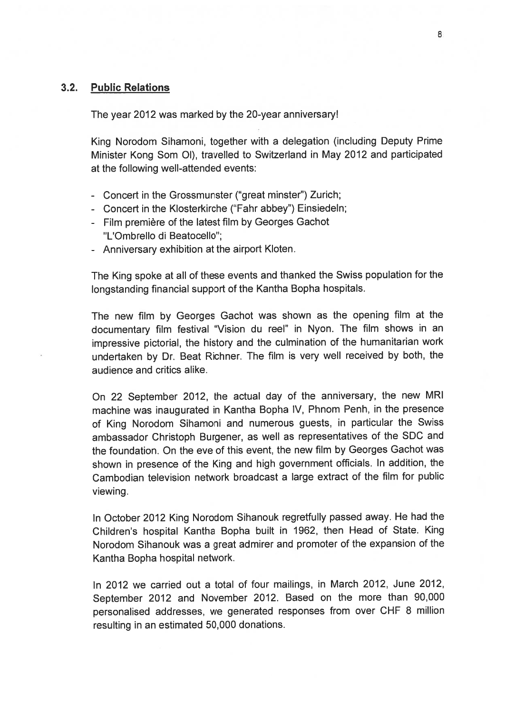#### 3.2. Public Relations

The year 2012 was marked by the 20-year anniversary!

King Norodom Sihamoni, together with <sup>a</sup> delegation (including Deputy Prime Minister Kong Som 01), travelled to Switzerland in May 2012 and participated at the following well-attended events:

- Concert in the Grossmunster ('great minster") Zurich;
- Concert in the Klosterkirche ('Fahr abbey") Einsiedeln;
- $\,$  Film première of the latest film by Georges Gachot "L'Ombrello di Beatocello";
- Anniversary exhibition at the airport Kioten.

The King spoke at all of these events and thanked the Swiss population for the longstanding financial suppor<sup>t</sup> of the Kantha Bopha hospitals.

The new film by Georges Gachot was shown as the opening film at the documentary film festival "Vision du reel" in Nyon. The film shows in an impressive <sup>p</sup>ictorial, the history and the culmination of the humanitarian work undertaken by Dr. Beat Richner. The film is very well received by both, the audience and critics alike.

On <sup>22</sup> September 2012, the actual day of the anniversary, the new MRI machine was inaugurated in Kantha Bopha IV, Phnom Penh, in the presence of King Norodom Sihamoni and numerous guests, in particular the Swiss ambassador Christoph Burgener, as well as representatives of the SDC and the foundation. On the eve of this event, the new film by Georges Gachot was shown in presence of the King and high governmen<sup>t</sup> officials. In addition, the Cambodian television network broadcast <sup>a</sup> large extract of the film for public viewing.

In October <sup>2012</sup> King Norodom Sihanouk regretfully passe<sup>d</sup> away. He had the Children's hospital Kantha Bopha built in 1962, then Head of State. King Norodom Sihanouk was <sup>a</sup> grea<sup>t</sup> admirer and promoter of the expansion of the Kantha Bopha hospital network.

In 2012 we carried out <sup>a</sup> total of four mailings, in March 2012, June 2012, September <sup>2012</sup> and November 2012. Based on the more than 90,000 personalised addresses, we generated responses from over CHF <sup>8</sup> million resulting in an estimated 50,000 donations.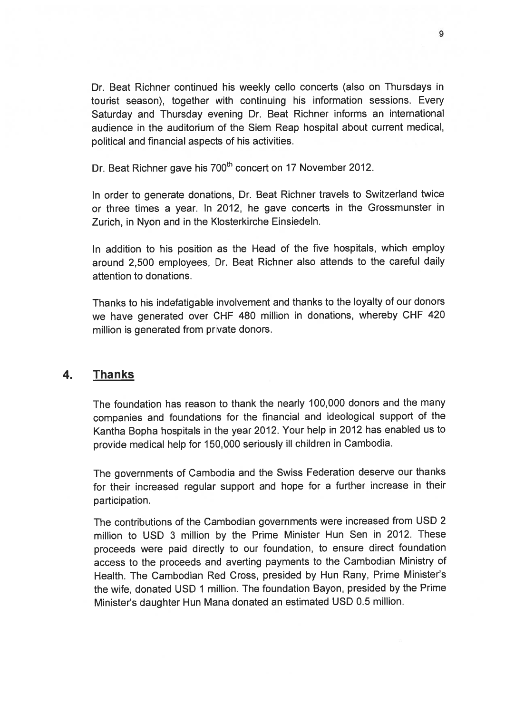Dr. Beat Richner continued his weekly cello concerts (also on Thursdays in tourist season), together with continuing his information sessions. Every Saturday and Thursday evening Dr. Beat Richner informs an international audience in the auditorium of the Siem Reap hospital about current medical, political and financial aspects of his activities.

Dr. Beat Richner gave his 700<sup>th</sup> concert on 17 November 2012.

In order to generate donations, Dr. Beat Richner travels to Switzerland twice or three times <sup>a</sup> year. In 2012, he gave concerts in the Grossmunster in Zurich, in Nyon and in the Klosterkirche Einsiedeln.

In addition to his position as the Head of the five hospitals, which employ around 2,500 employees, Dr. Beat Richner also attends to the careful daily attention to donations.

Thanks to his indefatigable involvement and thanks to the loyalty of our donors we have generated over CHF <sup>480</sup> million in donations, whereby CHF <sup>420</sup> million is generated from private donors.

## 4. Thanks

The foundation has reason to thank the nearly 100,000 donors and the many companies and foundations for the financial and ideological suppor<sup>t</sup> of the Kantha Bopha hospitals in the year 2012. Your help in <sup>2012</sup> has enabled us to provide medical help for 150,000 seriously ill children in Cambodia.

The governments of Cambodia and the Swiss Federation deserve our thanks for their increased regular suppor<sup>t</sup> and hope for <sup>a</sup> further increase in their participation.

The contributions of the Cambodian governments were increased from USD <sup>2</sup> million to USD <sup>3</sup> million by the Prime Minister Hun Sen in 2012. These proceeds were paid directly to our foundation, to ensure direct foundation access to the proceeds and averting payments to the Cambodian Ministry of Health. The Cambodian Red Cross, presided by Hun Rany, Prime Minister's the wife, donated USD <sup>1</sup> million. The foundation Bayon, presided by the Prime Minister's daughter Hun Mana donated an estimated USD 0.5 million.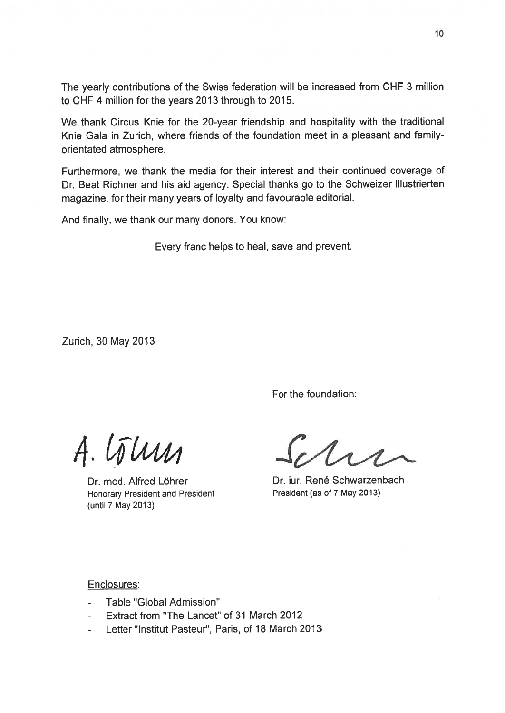The yearly contributions of the Swiss federation will be increased from CHF 3 million to CHF 4 million for the years 2013 through to 2015.

We thank Circus Knie for the 20-year friendship and hospitality with the traditional Knie Gala in Zurich, where friends of the foundation meet in <sup>a</sup> pleasant and familyorientated atmosphere.

Furthermore, we thank the media for their interest and their continued coverage of Dr. Beat Richner and his aid agency. Special thanks go to the Schweizer Illustrierten magazine, for their many years of loyalty and favourable editorial.

And finally, we thank our many donors. You know:

Every franc helps to heal, save and prevent.

Zurich, 30 May 2013

For the foundation:

Honorary President and President **President** President (as of 7 May 2013) (until 7 May 2013)

 $A.\overline{U}$ 

Dr. med. Alfred Löhrer **Dr. iur. René Schwarzenbach** 

Enclosures:

- Table "Global Admission"
- Extract from "The Lancet" of 31 March 2012
- Letter"lnstitut Pasteur", Paris, of 18 March 2013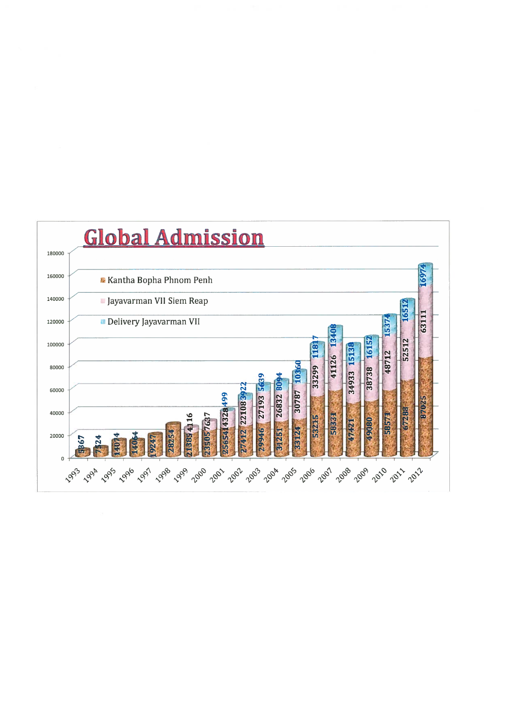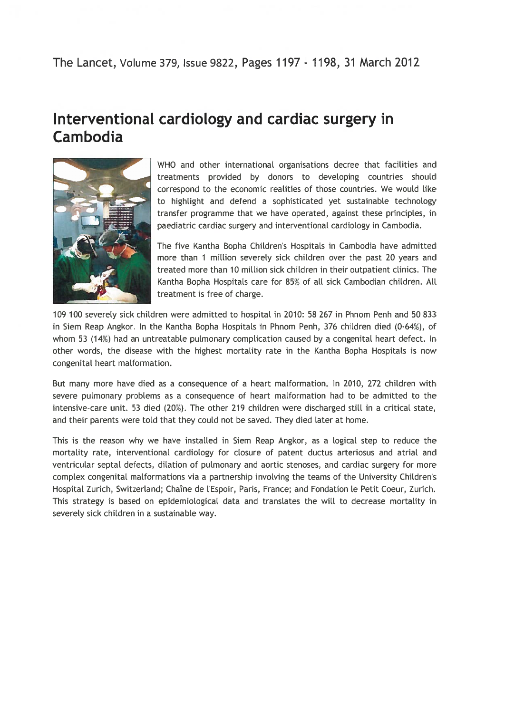## The Lancet, Volume 379, Issue 9822, Pages 1197- 1198, 31 March 2012

# Interventional cardiology and cardiac surgery in Cambodia



WHO and other international organisations decree that facilities and treatments provided by donors to developing countries should correspond to the economic realities of those countries. We would like to highlight and defend a sophisticated yet sustainable technology transfer programme that we have operated, against these principles, in paediatric cardiac surgery and interventional cardiology in Cambodia.

The five Kantha Bopha Children's Hospitals in Cambodia have admitted more than 1 million severely sick children over the past 20 years and treated more than 10 million sick children in their outpatient clinics. The Kantha Bopha Hospitals care for 85% of all sick Cambodian children. All treatment is free of charge.

109 100 severely sick chiLdren were admitted to hospitaL in 2010: 58 267 in Phnom Penh and 50 833 in Siem Reap Angkor. In the Kantha Bopha Hospitals in Phnom Penh, 376 children died (0.64%), of whom 53 (14%) had an untreatable pulmonary complication caused by a congenital heart defect. In other words, the disease with the highest mortality rate in the Kantha Bopha Hospitals is now congenital heart malformation.

But many more have died as a consequence of a heart malformation. In 2010, 272 children with severe pulmonary problems as <sup>a</sup> consequence of heart malformation had to be admitted to the intensive-care unit. 53 died (20%). The other 219 children were discharged still in <sup>a</sup> critical state, and their parents were told that they could not be saved. They died Later at home.

This is the reason why we have installed in Siem Reap Angkor, as <sup>a</sup> Logical step to reduce the mortality rate, interventional cardiology for closure of patent ductus arteriosus and atrial and ventricular septal defects, dilation of pulmonary and aortic stenoses, and cardiac surgery for more complex congenital malformations via a partnership involving the teams of the University Children's Hospital Zurich, Switzerland; Chaîne de l'Espoir, Paris, France; and Fondation le Petit Coeur, Zurich. This strategy is based on epidemiological data and translates the will to decrease mortality in severely sick children in a sustainable way.